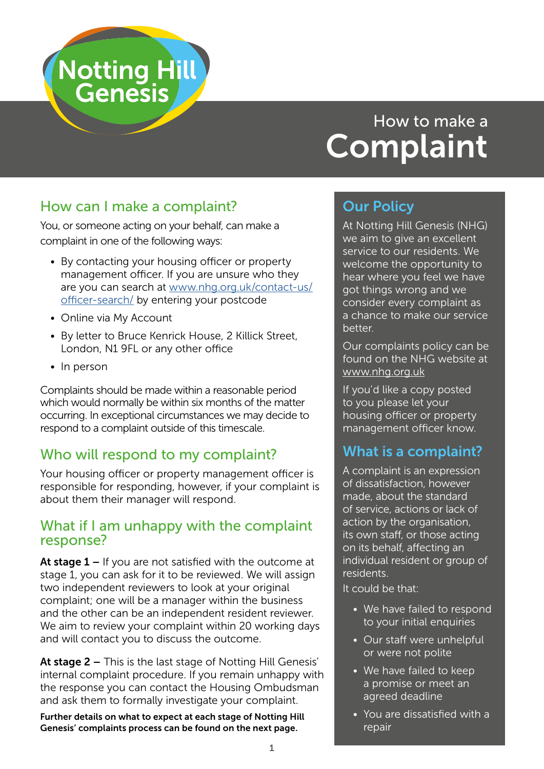

# How to make a **Complaint**

# How can I make a complaint?

You, or someone acting on your behalf, can make a complaint in one of the following ways:

- By contacting your housing officer or property management officer. If you are unsure who they are you can search at [www.nhg.org.uk/contact-us/](http://www.nhg.org.uk/contact-us/officer-search/) [officer-search/](http://www.nhg.org.uk/contact-us/officer-search/) by entering your postcode
- Online via My Account
- By letter to Bruce Kenrick House, 2 Killick Street, London, N1 9FL or any other office
- In person

Complaints should be made within a reasonable period which would normally be within six months of the matter occurring. In exceptional circumstances we may decide to respond to a complaint outside of this timescale.

# Who will respond to my complaint?

Your housing officer or property management officer is responsible for responding, however, if your complaint is about them their manager will respond.

#### What if I am unhappy with the complaint response?

At stage  $1 -$  If you are not satisfied with the outcome at stage 1, you can ask for it to be reviewed. We will assign two independent reviewers to look at your original complaint; one will be a manager within the business and the other can be an independent resident reviewer. We aim to review your complaint within 20 working days and will contact you to discuss the outcome.

At stage 2 – This is the last stage of Notting Hill Genesis' internal complaint procedure. If you remain unhappy with the response you can contact the Housing Ombudsman and ask them to formally investigate your complaint.

Further details on what to expect at each stage of Notting Hill Genesis' complaints process can be found on the next page.

# Our Policy

At Notting Hill Genesis (NHG) we aim to give an excellent service to our residents. We welcome the opportunity to hear where you feel we have got things wrong and we consider every complaint as a chance to make our service better.

Our complaints policy can be found on the NHG website at [www.nhg.org.uk](http://www.nhg.org.uk)

If you'd like a copy posted to you please let your housing officer or property management officer know.

# What is a complaint?

A complaint is an expression of dissatisfaction, however made, about the standard of service, actions or lack of action by the organisation, its own staff, or those acting on its behalf, affecting an individual resident or group of residents.

It could be that:

- We have failed to respond to your initial enquiries
- Our staff were unhelpful or were not polite
- We have failed to keep a promise or meet an agreed deadline
- You are dissatisfied with a repair